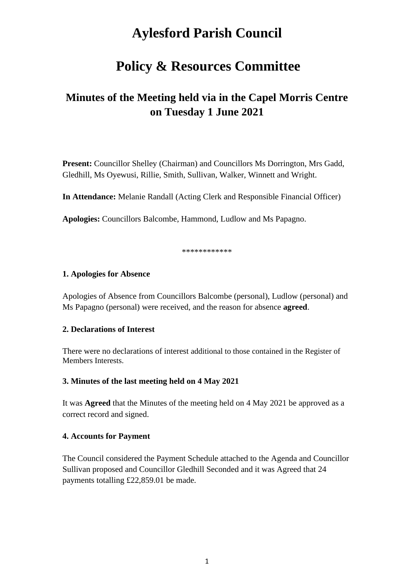# **Aylesford Parish Council**

# **Policy & Resources Committee**

# **Minutes of the Meeting held via in the Capel Morris Centre on Tuesday 1 June 2021**

**Present:** Councillor Shelley (Chairman) and Councillors Ms Dorrington, Mrs Gadd, Gledhill, Ms Oyewusi, Rillie, Smith, Sullivan, Walker, Winnett and Wright.

**In Attendance:** Melanie Randall (Acting Clerk and Responsible Financial Officer)

**Apologies:** Councillors Balcombe, Hammond, Ludlow and Ms Papagno.

\*\*\*\*\*\*\*\*\*\*\*\*

#### **1. Apologies for Absence**

Apologies of Absence from Councillors Balcombe (personal), Ludlow (personal) and Ms Papagno (personal) were received, and the reason for absence **agreed**.

#### **2. Declarations of Interest**

There were no declarations of interest additional to those contained in the Register of Members Interests.

#### **3. Minutes of the last meeting held on 4 May 2021**

It was **Agreed** that the Minutes of the meeting held on 4 May 2021 be approved as a correct record and signed.

#### **4. Accounts for Payment**

The Council considered the Payment Schedule attached to the Agenda and Councillor Sullivan proposed and Councillor Gledhill Seconded and it was Agreed that 24 payments totalling £22,859.01 be made.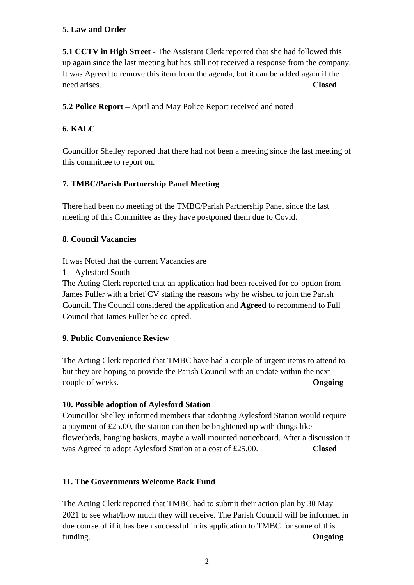### **5. Law and Order**

**5.1 CCTV in High Street** - The Assistant Clerk reported that she had followed this up again since the last meeting but has still not received a response from the company. It was Agreed to remove this item from the agenda, but it can be added again if the need arises. **Closed**

**5.2 Police Report –** April and May Police Report received and noted

# **6. KALC**

Councillor Shelley reported that there had not been a meeting since the last meeting of this committee to report on.

# **7. TMBC/Parish Partnership Panel Meeting**

There had been no meeting of the TMBC/Parish Partnership Panel since the last meeting of this Committee as they have postponed them due to Covid.

# **8. Council Vacancies**

It was Noted that the current Vacancies are

1 – Aylesford South

The Acting Clerk reported that an application had been received for co-option from James Fuller with a brief CV stating the reasons why he wished to join the Parish Council. The Council considered the application and **Agreed** to recommend to Full Council that James Fuller be co-opted.

# **9. Public Convenience Review**

The Acting Clerk reported that TMBC have had a couple of urgent items to attend to but they are hoping to provide the Parish Council with an update within the next couple of weeks. **Ongoing**

# **10. Possible adoption of Aylesford Station**

Councillor Shelley informed members that adopting Aylesford Station would require a payment of £25.00, the station can then be brightened up with things like flowerbeds, hanging baskets, maybe a wall mounted noticeboard. After a discussion it was Agreed to adopt Aylesford Station at a cost of £25.00. **Closed**

# **11. The Governments Welcome Back Fund**

The Acting Clerk reported that TMBC had to submit their action plan by 30 May 2021 to see what/how much they will receive. The Parish Council will be informed in due course of if it has been successful in its application to TMBC for some of this funding. **Ongoing**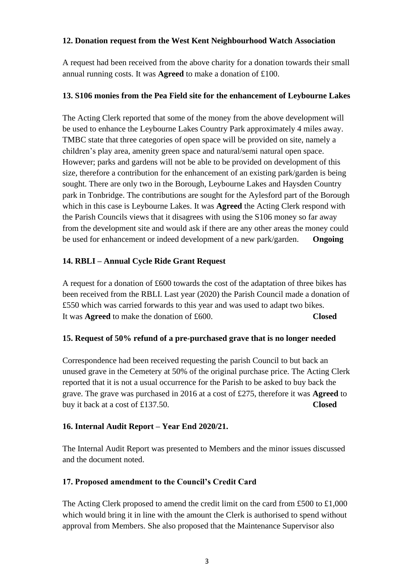#### **12. Donation request from the West Kent Neighbourhood Watch Association**

A request had been received from the above charity for a donation towards their small annual running costs. It was **Agreed** to make a donation of £100.

#### **13. S106 monies from the Pea Field site for the enhancement of Leybourne Lakes**

The Acting Clerk reported that some of the money from the above development will be used to enhance the Leybourne Lakes Country Park approximately 4 miles away. TMBC state that three categories of open space will be provided on site, namely a children's play area, amenity green space and natural/semi natural open space. However; parks and gardens will not be able to be provided on development of this size, therefore a contribution for the enhancement of an existing park/garden is being sought. There are only two in the Borough, Leybourne Lakes and Haysden Country park in Tonbridge. The contributions are sought for the Aylesford part of the Borough which in this case is Leybourne Lakes. It was **Agreed** the Acting Clerk respond with the Parish Councils views that it disagrees with using the S106 money so far away from the development site and would ask if there are any other areas the money could be used for enhancement or indeed development of a new park/garden. **Ongoing**

#### **14. RBLI – Annual Cycle Ride Grant Request**

A request for a donation of £600 towards the cost of the adaptation of three bikes has been received from the RBLI. Last year (2020) the Parish Council made a donation of £550 which was carried forwards to this year and was used to adapt two bikes. It was **Agreed** to make the donation of £600. **Closed**

#### **15. Request of 50% refund of a pre-purchased grave that is no longer needed**

Correspondence had been received requesting the parish Council to but back an unused grave in the Cemetery at 50% of the original purchase price. The Acting Clerk reported that it is not a usual occurrence for the Parish to be asked to buy back the grave. The grave was purchased in 2016 at a cost of £275, therefore it was **Agreed** to buy it back at a cost of £137.50. **Closed**

#### **16. Internal Audit Report – Year End 2020/21.**

The Internal Audit Report was presented to Members and the minor issues discussed and the document noted.

#### **17. Proposed amendment to the Council's Credit Card**

The Acting Clerk proposed to amend the credit limit on the card from £500 to £1,000 which would bring it in line with the amount the Clerk is authorised to spend without approval from Members. She also proposed that the Maintenance Supervisor also